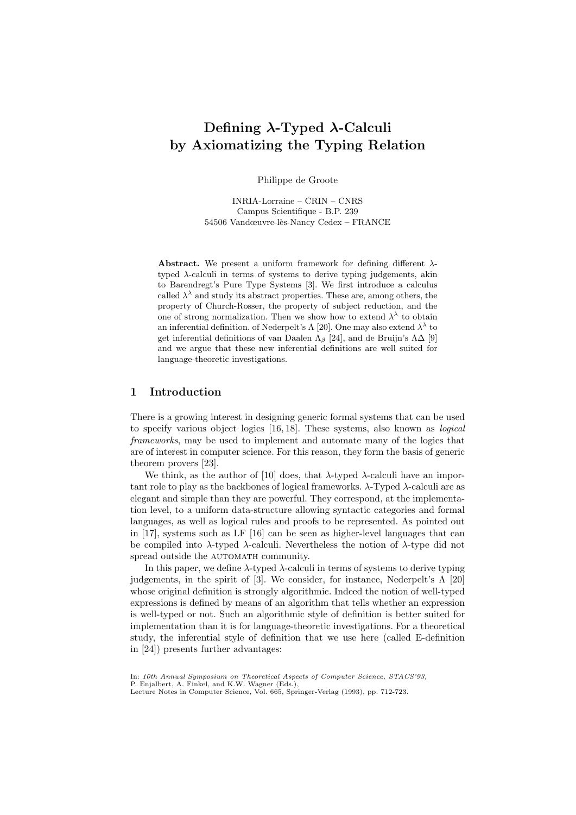# Defining λ-Typed λ-Calculi by Axiomatizing the Typing Relation

Philippe de Groote

INRIA-Lorraine – CRIN – CNRS Campus Scientifique - B.P. 239 54506 Vandœuvre-lès-Nancy Cedex – FRANCE

Abstract. We present a uniform framework for defining different  $\lambda$ typed  $\lambda$ -calculi in terms of systems to derive typing judgements, akin to Barendregt's Pure Type Systems [3]. We first introduce a calculus called  $\lambda^{\lambda}$  and study its abstract properties. These are, among others, the property of Church-Rosser, the property of subject reduction, and the one of strong normalization. Then we show how to extend  $\lambda^{\lambda}$  to obtain an inferential definition. of Nederpelt's  $\Lambda$  [20]. One may also extend  $\lambda^{\lambda}$  to get inferential definitions of van Daalen  $\Lambda_{\beta}$  [24], and de Bruijn's  $\Lambda\Delta$  [9] and we argue that these new inferential definitions are well suited for language-theoretic investigations.

# 1 Introduction

There is a growing interest in designing generic formal systems that can be used to specify various object logics [16, 18]. These systems, also known as logical frameworks, may be used to implement and automate many of the logics that are of interest in computer science. For this reason, they form the basis of generic theorem provers [23].

We think, as the author of [10] does, that  $\lambda$ -typed  $\lambda$ -calculi have an important role to play as the backbones of logical frameworks.  $\lambda$ -Typed  $\lambda$ -calculi are as elegant and simple than they are powerful. They correspond, at the implementation level, to a uniform data-structure allowing syntactic categories and formal languages, as well as logical rules and proofs to be represented. As pointed out in [17], systems such as LF [16] can be seen as higher-level languages that can be compiled into λ-typed λ-calculi. Nevertheless the notion of λ-type did not spread outside the AUTOMATH community.

In this paper, we define  $\lambda$ -typed  $\lambda$ -calculi in terms of systems to derive typing judgements, in the spirit of [3]. We consider, for instance, Nederpelt's  $\Lambda$  [20] whose original definition is strongly algorithmic. Indeed the notion of well-typed expressions is defined by means of an algorithm that tells whether an expression is well-typed or not. Such an algorithmic style of definition is better suited for implementation than it is for language-theoretic investigations. For a theoretical study, the inferential style of definition that we use here (called E-definition in [24]) presents further advantages:

In: 10th Annual Symposium on Theoretical Aspects of Computer Science, STACS'93, P. Enjalbert, A. Finkel, and K.W. Wagner (Eds.), Lecture Notes in Computer Science, Vol. 665, Springer-Verlag (1993), pp. 712-723.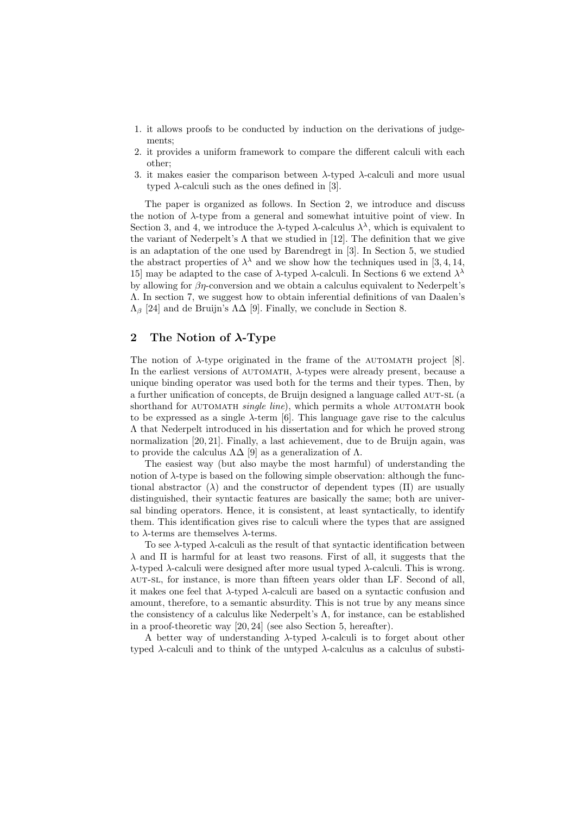- 1. it allows proofs to be conducted by induction on the derivations of judgements;
- 2. it provides a uniform framework to compare the different calculi with each other;
- 3. it makes easier the comparison between  $\lambda$ -typed  $\lambda$ -calculi and more usual typed  $\lambda$ -calculi such as the ones defined in [3].

The paper is organized as follows. In Section 2, we introduce and discuss the notion of  $\lambda$ -type from a general and somewhat intuitive point of view. In Section 3, and 4, we introduce the  $\lambda$ -typed  $\lambda$ -calculus  $\lambda^{\lambda}$ , which is equivalent to the variant of Nederpelt's  $\Lambda$  that we studied in [12]. The definition that we give is an adaptation of the one used by Barendregt in [3]. In Section 5, we studied the abstract properties of  $\lambda^{\lambda}$  and we show how the techniques used in [3, 4, 14, 15] may be adapted to the case of  $\lambda$ -typed  $\lambda$ -calculi. In Sections 6 we extend  $\lambda^{\lambda}$ by allowing for  $\beta\eta$ -conversion and we obtain a calculus equivalent to Nederpelt's Λ. In section 7, we suggest how to obtain inferential definitions of van Daalen's  $\Lambda_{\beta}$  [24] and de Bruijn's  $\Lambda\Delta$  [9]. Finally, we conclude in Section 8.

# 2 The Notion of  $\lambda$ -Type

The notion of  $\lambda$ -type originated in the frame of the AUTOMATH project [8]. In the earliest versions of  $\alpha$  automath,  $\lambda$ -types were already present, because a unique binding operator was used both for the terms and their types. Then, by a further unification of concepts, de Bruijn designed a language called AUT-SL (a shorthand for AUTOMATH *single line*), which permits a whole AUTOMATH book to be expressed as a single  $\lambda$ -term [6]. This language gave rise to the calculus Λ that Nederpelt introduced in his dissertation and for which he proved strong normalization [20, 21]. Finally, a last achievement, due to de Bruijn again, was to provide the calculus  $\Lambda\Delta$  [9] as a generalization of  $\Lambda$ .

The easiest way (but also maybe the most harmful) of understanding the notion of  $\lambda$ -type is based on the following simple observation: although the functional abstractor ( $\lambda$ ) and the constructor of dependent types ( $\Pi$ ) are usually distinguished, their syntactic features are basically the same; both are universal binding operators. Hence, it is consistent, at least syntactically, to identify them. This identification gives rise to calculi where the types that are assigned to λ-terms are themselves λ-terms.

To see  $\lambda$ -typed  $\lambda$ -calculi as the result of that syntactic identification between  $\lambda$  and  $\Pi$  is harmful for at least two reasons. First of all, it suggests that the λ-typed λ-calculi were designed after more usual typed λ-calculi. This is wrong. aut-sl, for instance, is more than fifteen years older than LF. Second of all, it makes one feel that  $\lambda$ -typed  $\lambda$ -calculi are based on a syntactic confusion and amount, therefore, to a semantic absurdity. This is not true by any means since the consistency of a calculus like Nederpelt's  $\Lambda$ , for instance, can be established in a proof-theoretic way [20, 24] (see also Section 5, hereafter).

A better way of understanding  $\lambda$ -typed  $\lambda$ -calculi is to forget about other typed  $\lambda$ -calculi and to think of the untyped  $\lambda$ -calculus as a calculus of substi-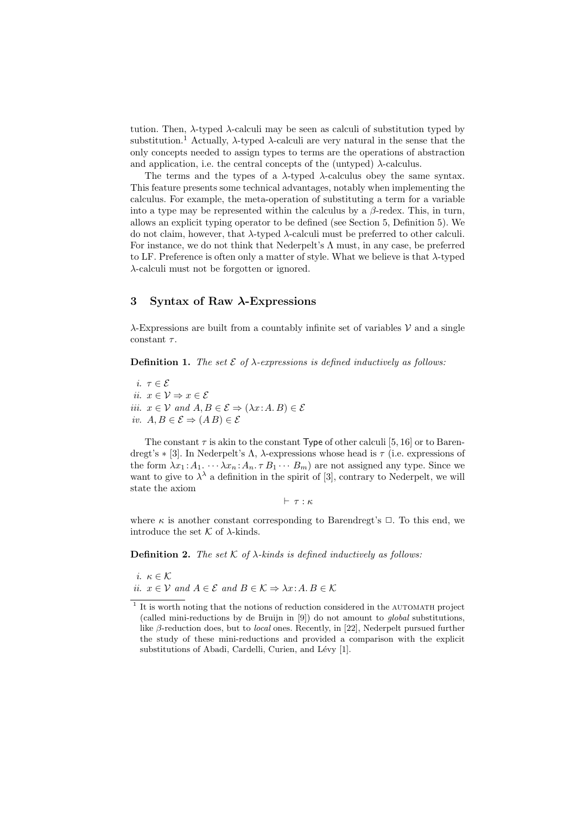tution. Then, λ-typed λ-calculi may be seen as calculi of substitution typed by substitution.<sup>1</sup> Actually,  $\lambda$ -typed  $\lambda$ -calculi are very natural in the sense that the only concepts needed to assign types to terms are the operations of abstraction and application, i.e. the central concepts of the (untyped)  $\lambda$ -calculus.

The terms and the types of a  $\lambda$ -typed  $\lambda$ -calculus obey the same syntax. This feature presents some technical advantages, notably when implementing the calculus. For example, the meta-operation of substituting a term for a variable into a type may be represented within the calculus by a  $\beta$ -redex. This, in turn, allows an explicit typing operator to be defined (see Section 5, Definition 5). We do not claim, however, that  $\lambda$ -typed  $\lambda$ -calculi must be preferred to other calculi. For instance, we do not think that Nederpelt's  $\Lambda$  must, in any case, be preferred to LF. Preference is often only a matter of style. What we believe is that  $\lambda$ -typed λ-calculi must not be forgotten or ignored.

# 3 Syntax of Raw  $\lambda$ -Expressions

 $\lambda$ -Expressions are built from a countably infinite set of variables  $\nu$  and a single constant  $\tau$ .

**Definition 1.** The set  $\mathcal{E}$  of  $\lambda$ -expressions is defined inductively as follows:

i.  $\tau \in \mathcal{E}$ ii.  $x \in \mathcal{V} \Rightarrow x \in \mathcal{E}$ iii.  $x \in V$  and  $A, B \in \mathcal{E} \Rightarrow (\lambda x : A, B) \in \mathcal{E}$ iv.  $A, B \in \mathcal{E} \Rightarrow (AB) \in \mathcal{E}$ 

The constant  $\tau$  is akin to the constant Type of other calculi [5, 16] or to Barendregt's  $\ast$  [3]. In Nederpelt's  $\Lambda$ ,  $\lambda$ -expressions whose head is  $\tau$  (i.e. expressions of the form  $\lambda x_1 : A_1 \cdots \lambda x_n : A_n \tau B_1 \cdots B_m$  are not assigned any type. Since we want to give to  $\lambda^{\lambda}$  a definition in the spirit of [3], contrary to Nederpelt, we will state the axiom

 $\vdash \tau : \kappa$ 

where  $\kappa$  is another constant corresponding to Barendregt's  $\Box$ . To this end, we introduce the set  $K$  of  $\lambda$ -kinds.

**Definition 2.** The set  $K$  of  $\lambda$ -kinds is defined inductively as follows:

i.  $\kappa \in \mathcal{K}$ ii.  $x \in V$  and  $A \in \mathcal{E}$  and  $B \in \mathcal{K} \Rightarrow \lambda x:A, B \in \mathcal{K}$ 

<sup>&</sup>lt;sup>1</sup> It is worth noting that the notions of reduction considered in the AUTOMATH project (called mini-reductions by de Bruijn in [9]) do not amount to global substitutions, like  $\beta$ -reduction does, but to *local* ones. Recently, in [22], Nederpelt pursued further the study of these mini-reductions and provided a comparison with the explicit substitutions of Abadi, Cardelli, Curien, and Lévy [1].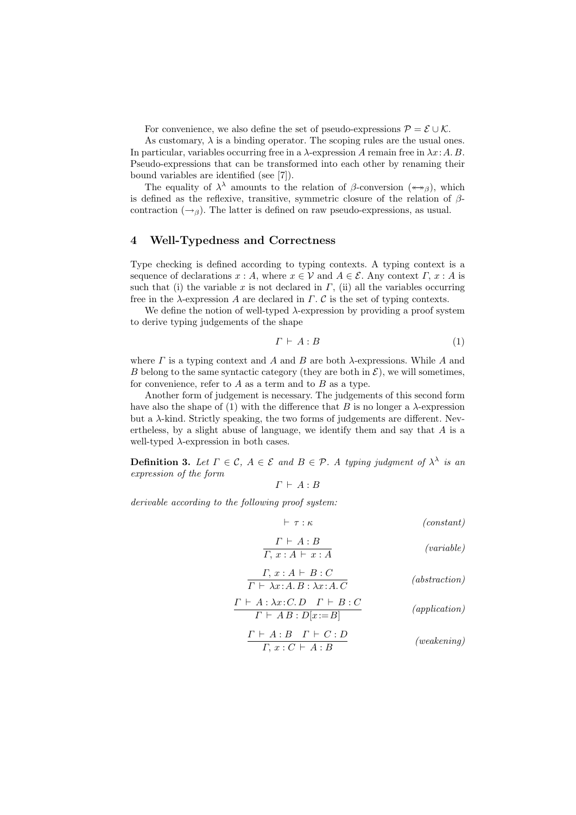For convenience, we also define the set of pseudo-expressions  $\mathcal{P} = \mathcal{E} \cup \mathcal{K}$ .

As customary,  $\lambda$  is a binding operator. The scoping rules are the usual ones. In particular, variables occurring free in a  $\lambda$ -expression A remain free in  $\lambda x:A.B.$ Pseudo-expressions that can be transformed into each other by renaming their bound variables are identified (see [7]).

The equality of  $\lambda^{\lambda}$  amounts to the relation of  $\beta$ -conversion  $(*\rightarrow_{\beta})$ , which is defined as the reflexive, transitive, symmetric closure of the relation of  $\beta$ contraction  $(\rightarrow_{\beta})$ . The latter is defined on raw pseudo-expressions, as usual.

### 4 Well-Typedness and Correctness

Type checking is defined according to typing contexts. A typing context is a sequence of declarations  $x : A$ , where  $x \in V$  and  $A \in \mathcal{E}$ . Any context  $\Gamma$ ,  $x : A$  is such that (i) the variable x is not declared in  $\Gamma$ , (ii) all the variables occurring free in the  $\lambda$ -expression A are declared in  $\Gamma$ . C is the set of typing contexts.

We define the notion of well-typed  $\lambda$ -expression by providing a proof system to derive typing judgements of the shape

$$
\Gamma \vdash A : B \tag{1}
$$

where  $\Gamma$  is a typing context and  $A$  and  $B$  are both  $\lambda$ -expressions. While  $A$  and B belong to the same syntactic category (they are both in  $\mathcal{E}$ ), we will sometimes, for convenience, refer to  $A$  as a term and to  $B$  as a type.

Another form of judgement is necessary. The judgements of this second form have also the shape of (1) with the difference that B is no longer a  $\lambda$ -expression but a  $\lambda$ -kind. Strictly speaking, the two forms of judgements are different. Nevertheless, by a slight abuse of language, we identify them and say that A is a well-typed  $\lambda$ -expression in both cases.

**Definition 3.** Let  $\Gamma \in \mathcal{C}$ ,  $A \in \mathcal{E}$  and  $B \in \mathcal{P}$ . A typing judgment of  $\lambda^{\lambda}$  is an expression of the form

$$
\Gamma \vdash A : B
$$

derivable according to the following proof system:

$$
\vdash \tau : \kappa \qquad \qquad (constant)
$$
\n
$$
\frac{\Gamma \vdash A : B}{\Gamma, x : A \vdash x : A} \qquad \qquad (variable)
$$

$$
\frac{\Gamma, x:A \vdash B:C}{\Gamma \vdash \lambda x:A.B : \lambda x:A.C}
$$
 (abstraction)  

$$
\Gamma \vdash A : \lambda x:C.D \quad \Gamma \vdash B:C
$$

$$
\frac{\Gamma + A \cdot B \cdot C \cdot B}{\Gamma + A \cdot B \cdot D[x := B]} \qquad (application)
$$
\n
$$
\frac{\Gamma + A \cdot B \quad \Gamma + C \cdot D}{\Gamma, x \cdot C + A \cdot B} \qquad (weaking)
$$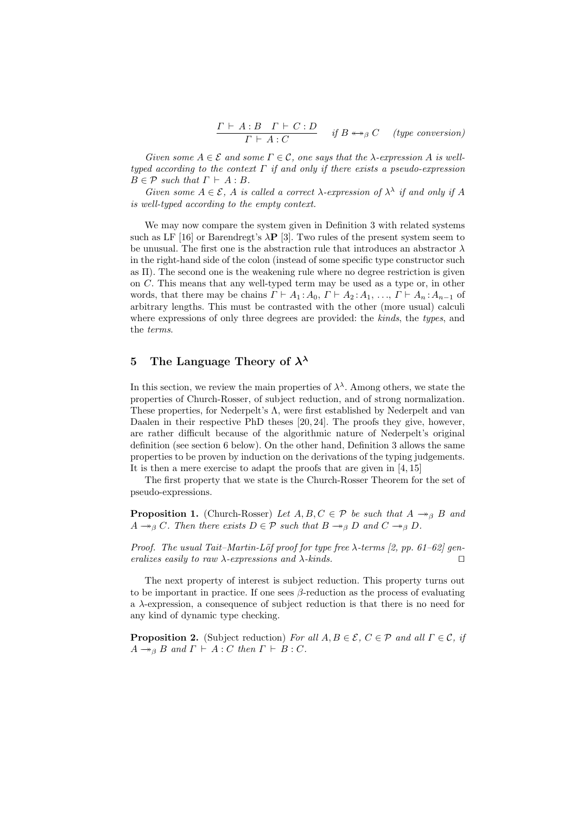$$
\frac{\Gamma \vdash A:B \quad \Gamma \vdash C:D}{\Gamma \vdash A:C} \quad \text{ if } B \leftrightarrow_{\beta} C \quad \text{ (type conversion)}
$$

Given some  $A \in \mathcal{E}$  and some  $\Gamma \in \mathcal{C}$ , one says that the  $\lambda$ -expression A is welltyped according to the context  $\Gamma$  if and only if there exists a pseudo-expression  $B \in \mathcal{P}$  such that  $\Gamma \vdash A : B$ .

Given some  $A \in \mathcal{E}$ , A is called a correct  $\lambda$ -expression of  $\lambda^{\lambda}$  if and only if A is well-typed according to the empty context.

We may now compare the system given in Definition 3 with related systems such as LF [16] or Barendregt's  $\lambda$ P [3]. Two rules of the present system seem to be unusual. The first one is the abstraction rule that introduces an abstractor  $\lambda$ in the right-hand side of the colon (instead of some specific type constructor such as  $\Pi$ ). The second one is the weakening rule where no degree restriction is given on C. This means that any well-typed term may be used as a type or, in other words, that there may be chains  $\Gamma \vdash A_1 : A_0, \Gamma \vdash A_2 : A_1, \ldots, \Gamma \vdash A_n : A_{n-1}$  of arbitrary lengths. This must be contrasted with the other (more usual) calculi where expressions of only three degrees are provided: the kinds, the types, and the terms.

# 5 The Language Theory of  $\lambda^{\lambda}$

In this section, we review the main properties of  $\lambda^{\lambda}$ . Among others, we state the properties of Church-Rosser, of subject reduction, and of strong normalization. These properties, for Nederpelt's  $\Lambda$ , were first established by Nederpelt and van Daalen in their respective PhD theses [20, 24]. The proofs they give, however, are rather difficult because of the algorithmic nature of Nederpelt's original definition (see section 6 below). On the other hand, Definition 3 allows the same properties to be proven by induction on the derivations of the typing judgements. It is then a mere exercise to adapt the proofs that are given in [4, 15]

The first property that we state is the Church-Rosser Theorem for the set of pseudo-expressions.

**Proposition 1.** (Church-Rosser) Let  $A, B, C \in \mathcal{P}$  be such that  $A \rightarrow_{\beta} B$  and  $A \rightarrow_{\beta} C$ . Then there exists  $D \in \mathcal{P}$  such that  $B \rightarrow_{\beta} D$  and  $C \rightarrow_{\beta} D$ .

Proof. The usual Tait–Martin-Löf proof for type free  $\lambda$ -terms [2, pp. 61–62] generalizes easily to raw  $\lambda$ -expressions and  $\lambda$ -kinds.  $\square$ 

The next property of interest is subject reduction. This property turns out to be important in practice. If one sees  $\beta$ -reduction as the process of evaluating a  $\lambda$ -expression, a consequence of subject reduction is that there is no need for any kind of dynamic type checking.

**Proposition 2.** (Subject reduction) For all  $A, B \in \mathcal{E}$ ,  $C \in \mathcal{P}$  and all  $\Gamma \in \mathcal{C}$ , if  $A \rightarrow_{\beta} B$  and  $\Gamma \vdash A : C$  then  $\Gamma \vdash B : C$ .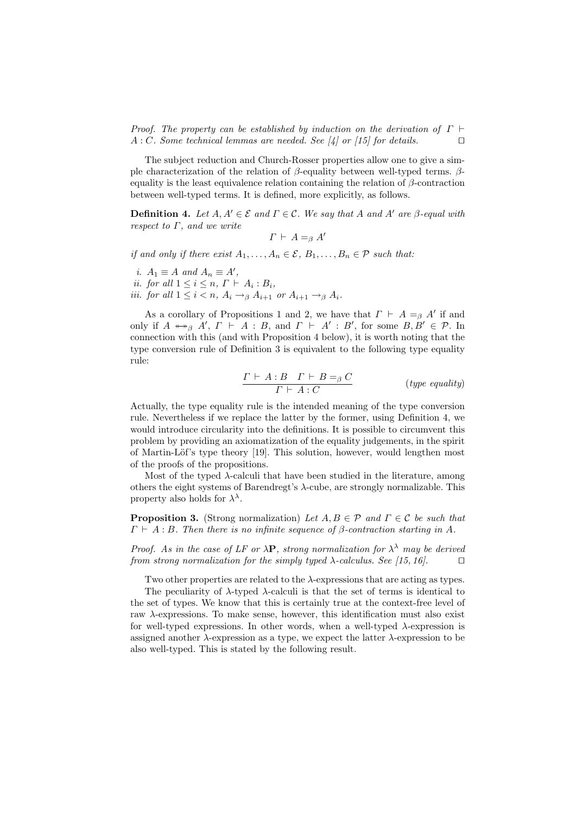Proof. The property can be established by induction on the derivation of  $\Gamma \vdash$  $A: C.$  Some technical lemmas are needed. See [4] or [15] for details.  $\square$ 

The subject reduction and Church-Rosser properties allow one to give a simple characterization of the relation of β-equality between well-typed terms. βequality is the least equivalence relation containing the relation of  $\beta$ -contraction between well-typed terms. It is defined, more explicitly, as follows.

**Definition 4.** Let  $A, A' \in \mathcal{E}$  and  $\Gamma \in \mathcal{C}$ . We say that A and A' are  $\beta$ -equal with respect to  $\Gamma$ , and we write

 $\Gamma \vdash A =_{\beta} A'$ 

if and only if there exist  $A_1, \ldots, A_n \in \mathcal{E}, B_1, \ldots, B_n \in \mathcal{P}$  such that:

i.  $A_1 \equiv A$  and  $A_n \equiv A'$ , *ii.* for all  $1 \leq i \leq n$ ,  $\Gamma \vdash A_i : B_i$ ,

iii. for all  $1 \leq i < n$ ,  $A_i \rightarrow_\beta A_{i+1}$  or  $A_{i+1} \rightarrow_\beta A_i$ .

As a corollary of Propositions 1 and 2, we have that  $\Gamma \vdash A =_{\beta} A'$  if and only if  $A \leftrightarrow_{\beta} A', T \vdash A : B$ , and  $T \vdash A' : B'$ , for some  $B, B' \in \mathcal{P}$ . In connection with this (and with Proposition 4 below), it is worth noting that the type conversion rule of Definition 3 is equivalent to the following type equality rule:

$$
\frac{\Gamma \vdash A : B \quad \Gamma \vdash B =_{\beta} C}{\Gamma \vdash A : C} \qquad \qquad (type \; equality)
$$

Actually, the type equality rule is the intended meaning of the type conversion rule. Nevertheless if we replace the latter by the former, using Definition 4, we would introduce circularity into the definitions. It is possible to circumvent this problem by providing an axiomatization of the equality judgements, in the spirit of Martin-Löf's type theory [19]. This solution, however, would lengthen most of the proofs of the propositions.

Most of the typed  $\lambda$ -calculi that have been studied in the literature, among others the eight systems of Barendregt's  $\lambda$ -cube, are strongly normalizable. This property also holds for  $\lambda^{\lambda}$ .

**Proposition 3.** (Strong normalization) Let  $A, B \in \mathcal{P}$  and  $\Gamma \in \mathcal{C}$  be such that  $\Gamma \vdash A : B$ . Then there is no infinite sequence of β-contraction starting in A.

Proof. As in the case of LF or  $\lambda \mathbf{P}$ , strong normalization for  $\lambda^{\lambda}$  may be derived from strong normalization for the simply typed  $\lambda$ -calculus. See [15, 16].

Two other properties are related to the  $\lambda$ -expressions that are acting as types.

The peculiarity of  $\lambda$ -typed  $\lambda$ -calculi is that the set of terms is identical to the set of types. We know that this is certainly true at the context-free level of raw λ-expressions. To make sense, however, this identification must also exist for well-typed expressions. In other words, when a well-typed  $\lambda$ -expression is assigned another  $\lambda$ -expression as a type, we expect the latter  $\lambda$ -expression to be also well-typed. This is stated by the following result.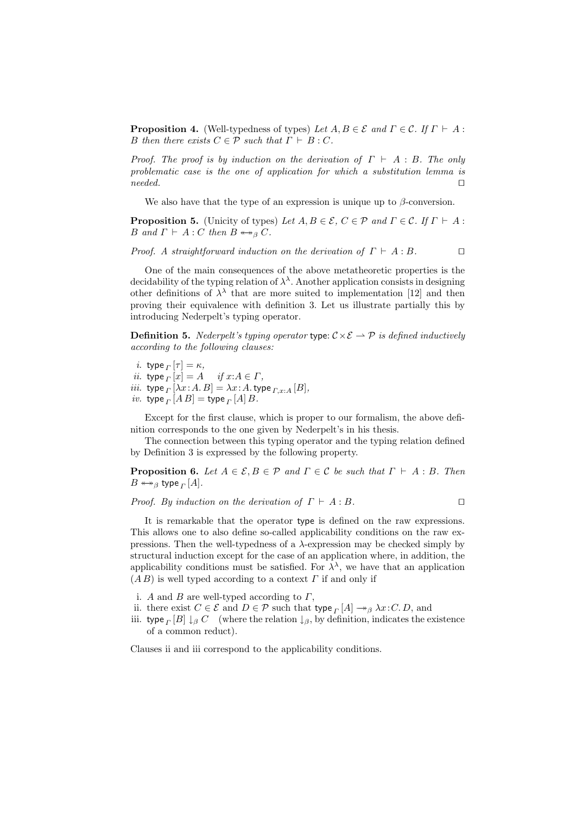**Proposition 4.** (Well-typedness of types) Let  $A, B \in \mathcal{E}$  and  $\Gamma \in \mathcal{C}$ . If  $\Gamma \vdash A$ : B then there exists  $C \in \mathcal{P}$  such that  $\Gamma \vdash B : C$ .

Proof. The proof is by induction on the derivation of  $\Gamma \vdash A : B$ . The only problematic case is the one of application for which a substitution lemma is  $\Box$  needed.

We also have that the type of an expression is unique up to  $\beta$ -conversion.

**Proposition 5.** (Unicity of types) Let  $A, B \in \mathcal{E}, C \in \mathcal{P}$  and  $\Gamma \in \mathcal{C}$ . If  $\Gamma \vdash A$ : B and  $\Gamma \vdash A : C$  then  $B \leftrightarrow_{\beta} C$ .

Proof. A straightforward induction on the derivation of  $\Gamma \vdash A : B$ .

One of the main consequences of the above metatheoretic properties is the decidability of the typing relation of  $\lambda^{\lambda}$ . Another application consists in designing other definitions of  $\lambda^{\lambda}$  that are more suited to implementation [12] and then proving their equivalence with definition 3. Let us illustrate partially this by introducing Nederpelt's typing operator.

**Definition 5.** Nederpelt's typing operator type:  $C \times \mathcal{E} \rightarrow \mathcal{P}$  is defined inductively according to the following clauses:

- *i*. type  $\lbrack \tau \rbrack = \kappa$ ,
- ii. type  $\Gamma[x] = A$  $if x:A \in \Gamma,$
- *iii.* type  $\prod_{\Gamma} [\lambda x \colon A B] = \lambda x \colon A.$  type  $\prod_{\Gamma, x \colon A} [B],$
- *iv.* type  $_{\Gamma} [A B] =$  type  $_{\Gamma} [A] B$ .

Except for the first clause, which is proper to our formalism, the above definition corresponds to the one given by Nederpelt's in his thesis.

The connection between this typing operator and the typing relation defined by Definition 3 is expressed by the following property.

**Proposition 6.** Let  $A \in \mathcal{E}, B \in \mathcal{P}$  and  $\Gamma \in \mathcal{C}$  be such that  $\Gamma \vdash A : B$ . Then  $B \leftrightarrow_{\beta}$  type  $_{\varGamma}$   $[A].$ 

*Proof.* By induction on the derivation of  $\Gamma \vdash A : B$ .

It is remarkable that the operator type is defined on the raw expressions. This allows one to also define so-called applicability conditions on the raw expressions. Then the well-typedness of a  $\lambda$ -expression may be checked simply by structural induction except for the case of an application where, in addition, the applicability conditions must be satisfied. For  $\lambda^{\lambda}$ , we have that an application  $(AB)$  is well typed according to a context  $\Gamma$  if and only if

- i. A and B are well-typed according to  $\Gamma$ ,
- ii. there exist  $C \in \mathcal{E}$  and  $D \in \mathcal{P}$  such that type  $\prod_{i=1}^{\infty} \to_{\beta} \lambda x$ : C.D, and
- iii. type  $\Gamma[B] \downarrow_{\beta} C$  (where the relation  $\downarrow_{\beta}$ , by definition, indicates the existence of a common reduct).

Clauses ii and iii correspond to the applicability conditions.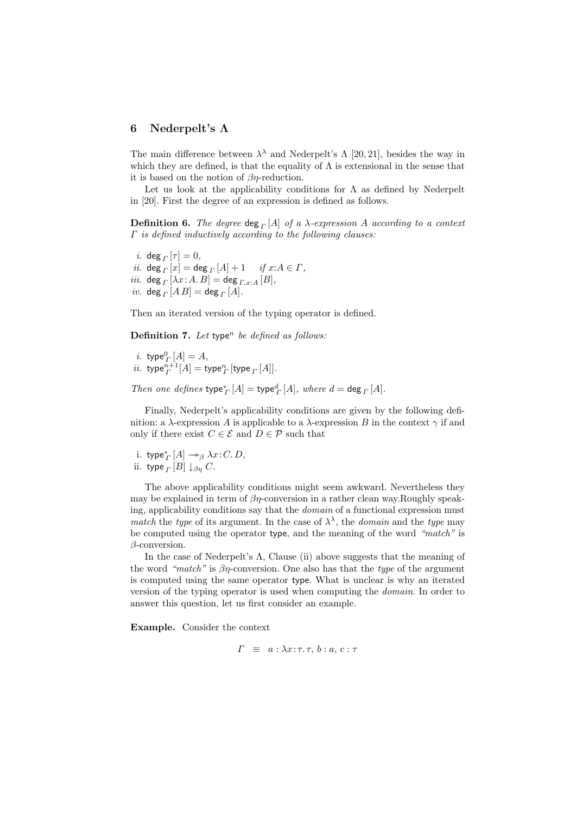#### 6 Nederpelt's Λ

The main difference between  $\lambda^{\lambda}$  and Nederpelt's  $\Lambda$  [20, 21], besides the way in which they are defined, is that the equality of  $\Lambda$  is extensional in the sense that it is based on the notion of  $\beta\eta$ -reduction.

Let us look at the applicability conditions for  $\Lambda$  as defined by Nederpelt in [20]. First the degree of an expression is defined as follows.

**Definition 6.** The degree  $\deg_{\Gamma}[A]$  of a  $\lambda$ -expression A according to a context  $\Gamma$  is defined inductively according to the following clauses:

*i*. deg  $\lbrack \tau \rbrack = 0$ , *ii.* deg  $\big|_{\Gamma}[x] = \deg_{\Gamma}[A] + 1$  *if*  $x:A \in \Gamma$ , *iii.* deg  $_{\Gamma}$  [ $\lambda x$  : A. B] = deg  $_{\Gamma,x:A}$  [B],  $iv.$  deg  $_{\Gamma}$   $[A B] =$  deg  $_{\Gamma}$   $[A]$ .

Then an iterated version of the typing operator is defined.

**Definition 7.** Let type<sup>n</sup> be defined as follows:

*i*. type ${}^{0}\Gamma[A] = A$ , *ii.*  $\text{type}_\Gamma^{n+1}[A] = \text{type}_\Gamma^n[\text{type}_\Gamma[A]].$ 

Then one defines  $\text{type}_\Gamma^*[A] = \text{type}_\Gamma^d[A]$ , where  $d = \text{deg}_\Gamma[A]$ .

Finally, Nederpelt's applicability conditions are given by the following definition: a λ-expression A is applicable to a λ-expression B in the context  $\gamma$  if and only if there exist  $C \in \mathcal{E}$  and  $D \in \mathcal{P}$  such that

i. type 
$$
^*_{\Gamma}[A] \rightarrow \beta \lambda x : C.D
$$
, ii. type  $^{}_{\Gamma}[B] \downarrow^{}_{\beta\eta} C$ .

The above applicability conditions might seem awkward. Nevertheless they may be explained in term of  $\beta\eta$ -conversion in a rather clean way.Roughly speaking, applicability conditions say that the domain of a functional expression must match the type of its argument. In the case of  $\lambda^{\lambda}$ , the domain and the type may be computed using the operator type, and the meaning of the word "match" is β-conversion.

In the case of Nederpelt's  $\Lambda$ , Clause (ii) above suggests that the meaning of the word "match" is  $\beta\eta$ -conversion. One also has that the type of the argument is computed using the same operator type. What is unclear is why an iterated version of the typing operator is used when computing the domain. In order to answer this question, let us first consider an example.

Example. Consider the context

$$
\Gamma \equiv a : \lambda x{:}\tau.\tau, b : a, c : \tau
$$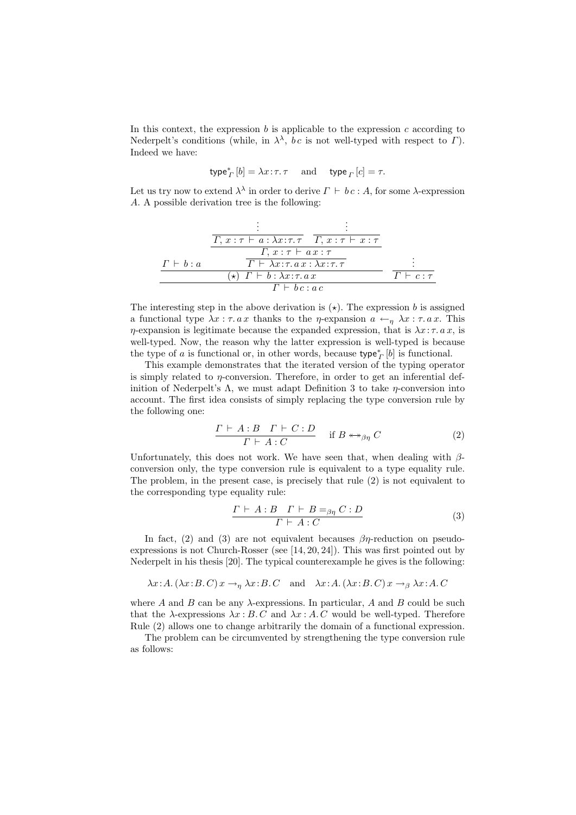In this context, the expression  $b$  is applicable to the expression  $c$  according to Nederpelt's conditions (while, in  $\lambda^{\lambda}$ , bc is not well-typed with respect to  $\Gamma$ ). Indeed we have:

$$
\mathsf{type}_\varGamma^*[b] = \lambda x\!:\!\tau.\,\tau \quad \text{ and } \quad \mathsf{type}_\varGamma\,[c] = \tau.
$$

Let us try now to extend  $\lambda^{\lambda}$  in order to derive  $\Gamma \vdash bc : A$ , for some  $\lambda$ -expression A. A possible derivation tree is the following:

$$
\frac{\frac{\vdots}{\Gamma, x : \tau \vdash a : \lambda x : \tau. \tau \quad \Gamma, x : \tau \vdash x : \tau}}{\frac{\Gamma, x : \tau \vdash ax : \tau}{\Gamma \vdash \lambda x : \tau. ax : \lambda x : \tau. \tau}}{\frac{\tau \vdash \lambda x : \tau. ax : \lambda x : \tau. \tau}{x \vdash b : \lambda x : \tau. ax}} \qquad \frac{\vdots}{\Gamma \vdash c : \tau}
$$

The interesting step in the above derivation is  $(\star)$ . The expression b is assigned a functional type  $\lambda x : \tau. a x$  thanks to the *η*-expansion  $a \leftarrow_{\eta} \lambda x : \tau. a x$ . This  $\eta$ -expansion is legitimate because the expanded expression, that is  $\lambda x : \tau. a x$ , is well-typed. Now, the reason why the latter expression is well-typed is because the type of a is functional or, in other words, because  $\text{type}_{\Gamma}^*[b]$  is functional.

This example demonstrates that the iterated version of the typing operator is simply related to  $\eta$ -conversion. Therefore, in order to get an inferential definition of Nederpelt's  $\Lambda$ , we must adapt Definition 3 to take *n*-conversion into account. The first idea consists of simply replacing the type conversion rule by the following one:

$$
\frac{\Gamma \vdash A:B \quad \Gamma \vdash C:D}{\Gamma \vdash A:C} \quad \text{if } B \leftrightarrow_{\beta\eta} C \tag{2}
$$

Unfortunately, this does not work. We have seen that, when dealing with  $\beta$ conversion only, the type conversion rule is equivalent to a type equality rule. The problem, in the present case, is precisely that rule (2) is not equivalent to the corresponding type equality rule:

$$
\frac{\Gamma \vdash A:B \quad \Gamma \vdash B=_{{\beta\eta}} C:D}{\Gamma \vdash A:C} \tag{3}
$$

In fact, (2) and (3) are not equivalent becauses  $\beta\eta$ -reduction on pseudoexpressions is not Church-Rosser (see [14, 20, 24]). This was first pointed out by Nederpelt in his thesis [20]. The typical counterexample he gives is the following:

$$
\lambda x:A. (\lambda x:B.C)x \rightarrow_{\eta} \lambda x:B.C
$$
 and  $\lambda x:A. (\lambda x:B.C)x \rightarrow_{\beta} \lambda x:A.C$ 

where A and B can be any  $\lambda$ -expressions. In particular, A and B could be such that the  $\lambda$ -expressions  $\lambda x : B.C$  and  $\lambda x : A.C$  would be well-typed. Therefore Rule (2) allows one to change arbitrarily the domain of a functional expression.

The problem can be circumvented by strengthening the type conversion rule as follows: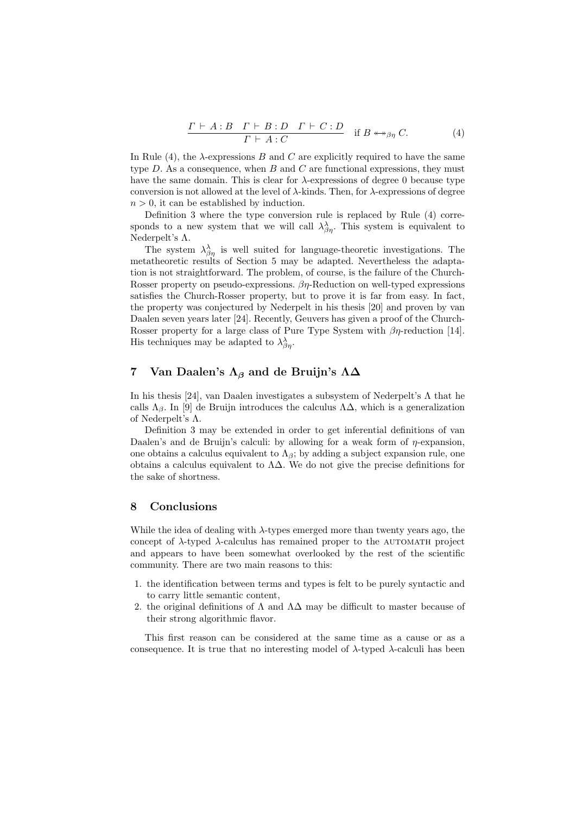$$
\frac{\Gamma \vdash A:B \quad \Gamma \vdash B:D \quad \Gamma \vdash C:D}{\Gamma \vdash A:C} \quad \text{if } B \leftrightarrow_{\beta\eta} C. \tag{4}
$$

In Rule (4), the  $\lambda$ -expressions B and C are explicitly required to have the same type  $D$ . As a consequence, when  $B$  and  $C$  are functional expressions, they must have the same domain. This is clear for  $\lambda$ -expressions of degree 0 because type conversion is not allowed at the level of  $\lambda$ -kinds. Then, for  $\lambda$ -expressions of degree  $n > 0$ , it can be established by induction.

Definition 3 where the type conversion rule is replaced by Rule (4) corresponds to a new system that we will call  $\lambda_{\beta\eta}^{\lambda}$ . This system is equivalent to Nederpelt's Λ.

The system  $\lambda_{\beta\eta}^{\lambda}$  is well suited for language-theoretic investigations. The metatheoretic results of Section 5 may be adapted. Nevertheless the adaptation is not straightforward. The problem, of course, is the failure of the Church-Rosser property on pseudo-expressions.  $\beta\eta$ -Reduction on well-typed expressions satisfies the Church-Rosser property, but to prove it is far from easy. In fact, the property was conjectured by Nederpelt in his thesis [20] and proven by van Daalen seven years later [24]. Recently, Geuvers has given a proof of the Church-Rosser property for a large class of Pure Type System with  $\beta\eta$ -reduction [14]. His techniques may be adapted to  $\lambda^{\lambda}_{\beta\eta}$ .

### 7 Van Daalen's  $\Lambda_{\beta}$  and de Bruijn's  $\Lambda\Delta$

In his thesis [24], van Daalen investigates a subsystem of Nederpelt's  $\Lambda$  that he calls  $\Lambda_{\beta}$ . In [9] de Bruijn introduces the calculus  $\Lambda\Delta$ , which is a generalization of Nederpelt's Λ.

Definition 3 may be extended in order to get inferential definitions of van Daalen's and de Bruijn's calculi: by allowing for a weak form of  $\eta$ -expansion, one obtains a calculus equivalent to  $\Lambda_{\beta}$ ; by adding a subject expansion rule, one obtains a calculus equivalent to  $\Lambda\Delta$ . We do not give the precise definitions for the sake of shortness.

# 8 Conclusions

While the idea of dealing with  $\lambda$ -types emerged more than twenty years ago, the concept of  $\lambda$ -typed  $\lambda$ -calculus has remained proper to the AUTOMATH project and appears to have been somewhat overlooked by the rest of the scientific community. There are two main reasons to this:

- 1. the identification between terms and types is felt to be purely syntactic and to carry little semantic content,
- 2. the original definitions of  $\Lambda$  and  $\Lambda\Delta$  may be difficult to master because of their strong algorithmic flavor.

This first reason can be considered at the same time as a cause or as a consequence. It is true that no interesting model of  $\lambda$ -typed  $\lambda$ -calculi has been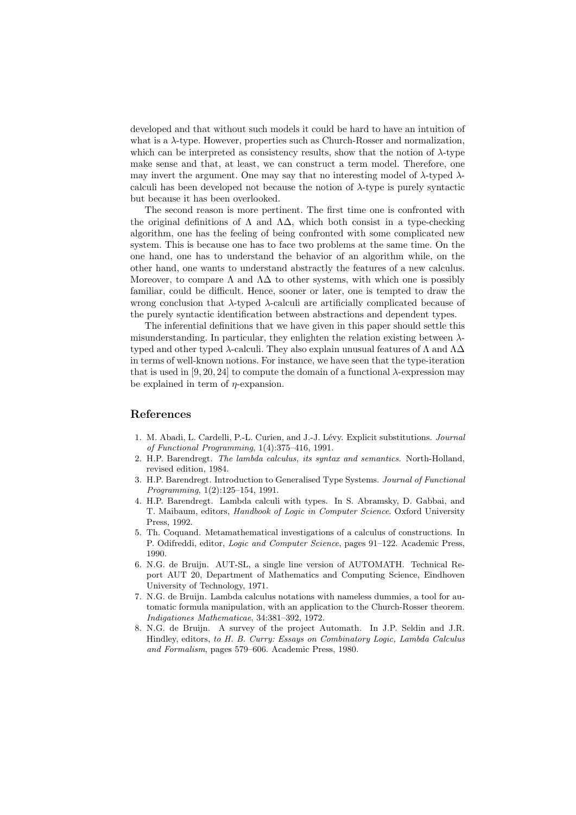developed and that without such models it could be hard to have an intuition of what is a λ-type. However, properties such as Church-Rosser and normalization, which can be interpreted as consistency results, show that the notion of  $\lambda$ -type make sense and that, at least, we can construct a term model. Therefore, one may invert the argument. One may say that no interesting model of  $\lambda$ -typed  $\lambda$ calculi has been developed not because the notion of  $\lambda$ -type is purely syntactic but because it has been overlooked.

The second reason is more pertinent. The first time one is confronted with the original definitions of  $\Lambda$  and  $\Lambda\Delta$ , which both consist in a type-checking algorithm, one has the feeling of being confronted with some complicated new system. This is because one has to face two problems at the same time. On the one hand, one has to understand the behavior of an algorithm while, on the other hand, one wants to understand abstractly the features of a new calculus. Moreover, to compare  $\Lambda$  and  $\Lambda\Delta$  to other systems, with which one is possibly familiar, could be difficult. Hence, sooner or later, one is tempted to draw the wrong conclusion that  $\lambda$ -typed  $\lambda$ -calculi are artificially complicated because of the purely syntactic identification between abstractions and dependent types.

The inferential definitions that we have given in this paper should settle this misunderstanding. In particular, they enlighten the relation existing between  $\lambda$ typed and other typed  $\lambda$ -calculi. They also explain unusual features of  $\Lambda$  and  $\Lambda\Delta$ in terms of well-known notions. For instance, we have seen that the type-iteration that is used in [9, 20, 24] to compute the domain of a functional  $\lambda$ -expression may be explained in term of  $\eta$ -expansion.

# References

- 1. M. Abadi, L. Cardelli, P.-L. Curien, and J.-J. Lévy. Explicit substitutions. Journal of Functional Programming, 1(4):375–416, 1991.
- 2. H.P. Barendregt. The lambda calculus, its syntax and semantics. North-Holland, revised edition, 1984.
- 3. H.P. Barendregt. Introduction to Generalised Type Systems. Journal of Functional Programming, 1(2):125–154, 1991.
- 4. H.P. Barendregt. Lambda calculi with types. In S. Abramsky, D. Gabbai, and T. Maibaum, editors, Handbook of Logic in Computer Science. Oxford University Press, 1992.
- 5. Th. Coquand. Metamathematical investigations of a calculus of constructions. In P. Odifreddi, editor, Logic and Computer Science, pages 91–122. Academic Press, 1990.
- 6. N.G. de Bruijn. AUT-SL, a single line version of AUTOMATH. Technical Report AUT 20, Department of Mathematics and Computing Science, Eindhoven University of Technology, 1971.
- 7. N.G. de Bruijn. Lambda calculus notations with nameless dummies, a tool for automatic formula manipulation, with an application to the Church-Rosser theorem. Indigationes Mathematicae, 34:381–392, 1972.
- 8. N.G. de Bruijn. A survey of the project Automath. In J.P. Seldin and J.R. Hindley, editors, to H. B. Curry: Essays on Combinatory Logic, Lambda Calculus and Formalism, pages 579–606. Academic Press, 1980.